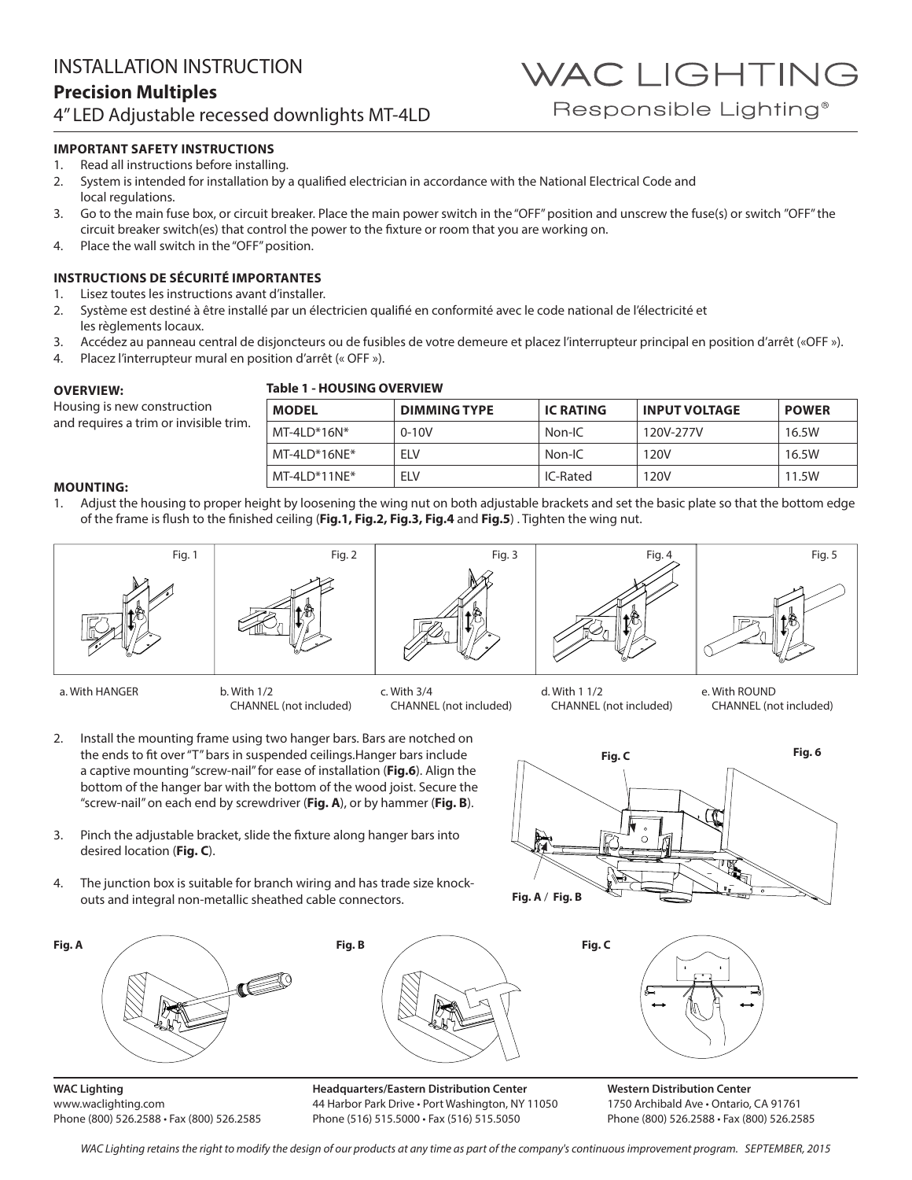### **IMPORTANT SAFETY INSTRUCTIONS**

- 1. Read all instructions before installing.
- 2. System is intended for installation by a qualified electrician in accordance with the National Electrical Code and local regulations.
- 3. Go to the main fuse box, or circuit breaker. Place the main power switch in the "OFF" position and unscrew the fuse(s) or switch "OFF" the circuit breaker switch(es) that control the power to the fixture or room that you are working on.
- 4. Place the wall switch in the "OFF" position.

## **INSTRUCTIONS DE SÉCURITÉ IMPORTANTES**

- 1. Lisez toutes les instructions avant d'installer.
- 2. Système est destiné à être installé par un électricien qualifié en conformité avec le code national de l'électricité et les règlements locaux.
- 3. Accédez au panneau central de disjoncteurs ou de fusibles de votre demeure et placez l'interrupteur principal en position d'arrêt («OFF »).
- 4. Placez l'interrupteur mural en position d'arrêt (« OFF »).

#### **OVERVIEW:**

Housing is new construction and requires a trim or invisible trim.

#### **Table 1 - HOUSING OVERVIEW**

| <b>MODEL</b>    | <b>DIMMING TYPE</b> | <b>IC RATING</b> | <b>INPUT VOLTAGE</b> | <b>POWER</b> |
|-----------------|---------------------|------------------|----------------------|--------------|
| $MT-4LD*16N*$   | $0 - 10V$           | Non-IC           | 120V-277V            | 16.5W        |
| $MT-4LD*16NE*$  | <b>FIV</b>          | Non-IC           | 120V                 | 16.5W        |
| MT-4I $D*11NF*$ | <b>FIV</b>          | IC-Rated         | 120V                 | 11.5W        |

#### **MOUNTING:**

1. Adjust the housing to proper height by loosening the wing nut on both adjustable brackets and set the basic plate so that the bottom edge of the frame is flush to the finished ceiling (**Fig.1, Fig.2, Fig.3, Fig.4** and **Fig.5**) . Tighten the wing nut.



- 2. Install the mounting frame using two hanger bars. Bars are notched on the ends to fit over "T" bars in suspended ceilings.Hanger bars include a captive mounting "screw-nail" for ease of installation (**Fig.6**). Align the bottom of the hanger bar with the bottom of the wood joist. Secure the "screw-nail" on each end by screwdriver (**Fig. A**), or by hammer (**Fig. B**).
- 3. Pinch the adjustable bracket, slide the fixture along hanger bars into desired location (**Fig. C**).
- 4. The junction box is suitable for branch wiring and has trade size knockouts and integral non-metallic sheathed cable connectors.





**WAC Lighting** www.waclighting.com Phone (800) 526.2588 • Fax (800) 526.2585 **Headquarters/Eastern Distribution Center** 44 Harbor Park Drive • Port Washington, NY 11050 Phone (516) 515.5000 • Fax (516) 515.5050

**Western Distribution Center**  1750 Archibald Ave • Ontario, CA 91761 Phone (800) 526.2588 • Fax (800) 526.2585

WAC Lighting retains the right to modify the design of our products at any time as part of the company's continuous improvement program. SEPTEMBER, 2015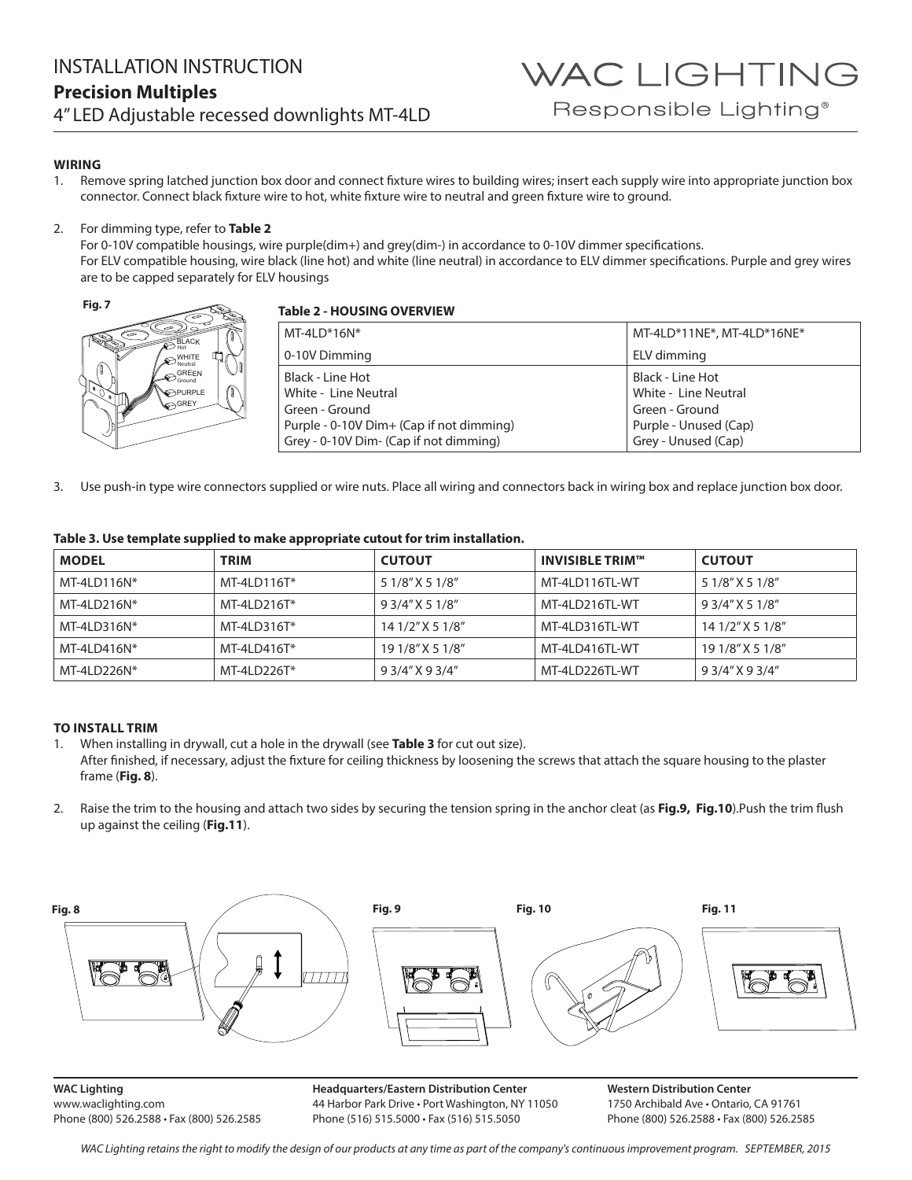## **WIRING**

1. Remove spring latched junction box door and connect fixture wires to building wires; insert each supply wire into appropriate junction box connector. Connect black fixture wire to hot, white fixture wire to neutral and green fixture wire to ground.

### 2. For dimming type, refer to **Table 2**

For 0-10V compatible housings, wire purple(dim+) and grey(dim-) in accordance to 0-10V dimmer specifications. For ELV compatible housing, wire black (line hot) and white (line neutral) in accordance to ELV dimmer specifications. Purple and grey wires are to be capped separately for ELV housings



# **Table 2 - HOUSING OVERVIEW**

| $MT-4LD*16N*$                            | MT-4LD*11NE*, MT-4LD*16NE* |  |  |  |
|------------------------------------------|----------------------------|--|--|--|
| 0-10V Dimming                            | ELV dimming                |  |  |  |
| Black - Line Hot                         | Black - Line Hot           |  |  |  |
| White - Line Neutral                     | White - Line Neutral       |  |  |  |
| Green - Ground                           | Green - Ground             |  |  |  |
| Purple - 0-10V Dim+ (Cap if not dimming) | Purple - Unused (Cap)      |  |  |  |
| Grey - 0-10V Dim- (Cap if not dimming)   | Grey - Unused (Cap)        |  |  |  |

3. Use push-in type wire connectors supplied or wire nuts. Place all wiring and connectors back in wiring box and replace junction box door.

| Table 3. Use template supplied to make appropriate cutout for trim installation. |  |  |  |  |  |
|----------------------------------------------------------------------------------|--|--|--|--|--|
|                                                                                  |  |  |  |  |  |

| <b>MODEL</b>  | <b>TRIM</b>   | <b>CUTOUT</b>    | <b>INVISIBLE TRIM™</b> | <b>CUTOUT</b>    |
|---------------|---------------|------------------|------------------------|------------------|
| MT-4LD116N*   | $MT-4LD116T*$ | 5 1/8" X 5 1/8"  | MT-4LD116TL-WT         | 5 1/8" X 5 1/8"  |
| $MT-4LD216N*$ | $MT-4LD216T*$ | 9 3/4" X 5 1/8"  | MT-4LD216TL-WT         | 9 3/4" X 5 1/8"  |
| $MT-4LD316N*$ | $MT-4LD316T*$ | 14 1/2" X 5 1/8" | MT-4LD316TL-WT         | 14 1/2" X 5 1/8" |
| MT-4LD416N*   | MT-4LD416T*   | 19 1/8" X 5 1/8" | MT-4LD416TL-WT         | 19 1/8" X 5 1/8" |
| MT-4LD226N*   | MT-4LD226T*   | 9 3/4" X 9 3/4"  | MT-4LD226TL-WT         | 9 3/4" X 9 3/4"  |

# **TO INSTALL TRIM**

1. When installing in drywall, cut a hole in the drywall (see **Table 3** for cut out size). After finished, if necessary, adjust the fixture for ceiling thickness by loosening the screws that attach the square housing to the plaster frame (**Fig. 8**).

2. Raise the trim to the housing and attach two sides by securing the tension spring in the anchor cleat (as **Fig.9, Fig.10**).Push the trim flush up against the ceiling (**Fig.11**).



**WAC Lighting** www.waclighting.com Phone (800) 526.2588 • Fax (800) 526.2585

**Headquarters/Eastern Distribution Center** 44 Harbor Park Drive • Port Washington, NY 11050 Phone (516) 515.5000 • Fax (516) 515.5050

**Western Distribution Center**  1750 Archibald Ave • Ontario, CA 91761 Phone (800) 526.2588 • Fax (800) 526.2585

WAC Lighting retains the right to modify the design of our products at any time as part of the company's continuous improvement program. SEPTEMBER, 2015